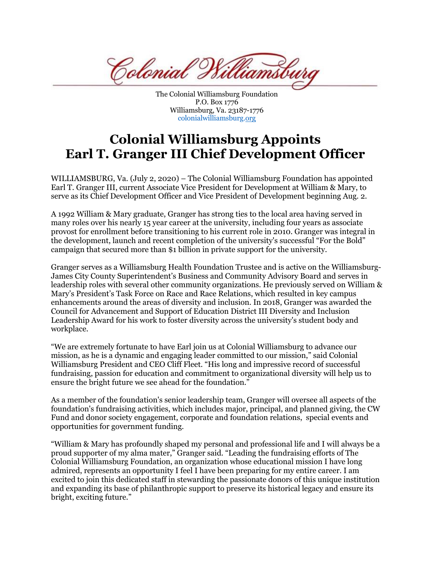Colonial <sup>T</sup>

The Colonial Williamsburg Foundation P.O. Box 1776 Williamsburg, Va. 23187-1776 colonialwilliamsburg.org

## **Colonial Williamsburg Appoints Earl T. Granger III Chief Development Officer**

WILLIAMSBURG, Va. (July 2, 2020) – The Colonial Williamsburg Foundation has appointed Earl T. Granger III, current Associate Vice President for Development at William & Mary, to serve as its Chief Development Officer and Vice President of Development beginning Aug. 2.

A 1992 William & Mary graduate, Granger has strong ties to the local area having served in many roles over his nearly 15 year career at the university, including four years as associate provost for enrollment before transitioning to his current role in 2010. Granger was integral in the development, launch and recent completion of the university's successful "For the Bold" campaign that secured more than \$1 billion in private support for the university.

Granger serves as a Williamsburg Health Foundation Trustee and is active on the Williamsburg-James City County Superintendent's Business and Community Advisory Board and serves in leadership roles with several other community organizations. He previously served on William & Mary's President's Task Force on Race and Race Relations, which resulted in key campus enhancements around the areas of diversity and inclusion. In 2018, Granger was awarded the Council for Advancement and Support of Education District III Diversity and Inclusion Leadership Award for his work to foster diversity across the university's student body and workplace.

"We are extremely fortunate to have Earl join us at Colonial Williamsburg to advance our mission, as he is a dynamic and engaging leader committed to our mission," said Colonial Williamsburg President and CEO Cliff Fleet. "His long and impressive record of successful fundraising, passion for education and commitment to organizational diversity will help us to ensure the bright future we see ahead for the foundation."

As a member of the foundation's senior leadership team, Granger will oversee all aspects of the foundation's fundraising activities, which includes major, principal, and planned giving, the CW Fund and donor society engagement, corporate and foundation relations, special events and opportunities for government funding.

"William & Mary has profoundly shaped my personal and professional life and I will always be a proud supporter of my alma mater," Granger said. "Leading the fundraising efforts of The Colonial Williamsburg Foundation, an organization whose educational mission I have long admired, represents an opportunity I feel I have been preparing for my entire career. I am excited to join this dedicated staff in stewarding the passionate donors of this unique institution and expanding its base of philanthropic support to preserve its historical legacy and ensure its bright, exciting future."